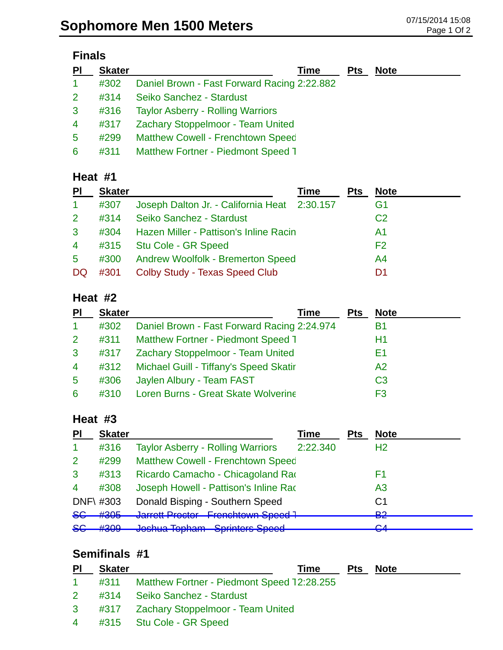## **Finals**

| <b>PI</b>            | <b>Skater</b> | Time                                        | <b>Pts</b> | <b>Note</b> |
|----------------------|---------------|---------------------------------------------|------------|-------------|
| $\blacktriangleleft$ | #302          | Daniel Brown - Fast Forward Racing 2:22.882 |            |             |
| 2 <sup>1</sup>       | #314          | Seiko Sanchez - Stardust                    |            |             |
| $\mathbf{3}$         | #316          | <b>Taylor Asberry - Rolling Warriors</b>    |            |             |
| $\overline{4}$       | #317          | Zachary Stoppelmoor - Team United           |            |             |
| 5                    | #299          | <b>Matthew Cowell - Frenchtown Speed</b>    |            |             |
| 6                    | #311          | <b>Matthew Fortner - Piedmont Speed 1</b>   |            |             |

#### **Heat #1**

| <b>PI</b>      | <b>Skater</b> |                                              | Time | <b>Pts</b> | <b>Note</b>    |
|----------------|---------------|----------------------------------------------|------|------------|----------------|
| $\mathbf{1}$   | #307          | Joseph Dalton Jr. - California Heat 2:30.157 |      |            | G1             |
| $\overline{2}$ | #314          | Seiko Sanchez - Stardust                     |      |            | C <sub>2</sub> |
| $\mathbf{3}$   | #304          | Hazen Miller - Pattison's Inline Racin       |      |            | A1             |
| $\overline{4}$ | #315          | Stu Cole - GR Speed                          |      |            | F <sub>2</sub> |
| $5^{\circ}$    | #300          | <b>Andrew Woolfolk - Bremerton Speed</b>     |      |            | A4             |
| DQ             | #301          | Colby Study - Texas Speed Club               |      |            | D1             |

#### **Heat #2**

| PI                   | <b>Skater</b> | Time                                        | Pts | <b>Note</b>    |
|----------------------|---------------|---------------------------------------------|-----|----------------|
| $\blacktriangleleft$ | #302          | Daniel Brown - Fast Forward Racing 2:24.974 |     | B1             |
| $\overline{2}$       | #311          | Matthew Fortner - Piedmont Speed 1          |     | Η1             |
| $\mathbf{3}$         | #317          | Zachary Stoppelmoor - Team United           |     | F1             |
| 4                    |               | #312 Michael Guill - Tiffany's Speed Skatir |     | A2             |
| $5\overline{)}$      | #306          | Jaylen Albury - Team FAST                   |     | C <sub>3</sub> |
| 6                    | #310          | <b>Loren Burns - Great Skate Wolverine</b>  |     | F3             |

#### **Heat #3**

| <b>PI</b>        | <b>Skater</b> |                                                                    | Time     | <b>Pts</b> | <b>Note</b>    |
|------------------|---------------|--------------------------------------------------------------------|----------|------------|----------------|
|                  | #316          | <b>Taylor Asberry - Rolling Warriors</b>                           | 2:22.340 |            | H <sub>2</sub> |
| 2                | #299          | <b>Matthew Cowell - Frenchtown Speed</b>                           |          |            |                |
| 3                | #313          | Ricardo Camacho - Chicagoland Rao                                  |          |            | F1             |
| $\boldsymbol{4}$ | #308          | Joseph Howell - Pattison's Inline Rad                              |          |            | A <sub>3</sub> |
|                  | DNF\ #303     | Donald Bisping - Southern Speed                                    |          |            | C1             |
| <del>SG</del>    | #305          | Jarrett Precter - Frenchtewn Speed 1<br>ישטטיד דיטויש              |          |            | ലാ<br>▱▱       |
| <del>SC</del>    | H200<br>ᡣᠸᡃᠸ  | Jochus Topham - Carintore Chood<br>שטטעט טווווועט דוואוועט טאווויט |          |            | ⌒∧<br>▱        |

## **Semifinals #1**

| $\overline{P}$ | <b>Skater</b> | Time                                            | Pts | <b>Note</b> |
|----------------|---------------|-------------------------------------------------|-----|-------------|
| $1 -$          |               | #311 Matthew Fortner - Piedmont Speed 12:28.255 |     |             |
|                |               | 2 #314 Seiko Sanchez - Stardust                 |     |             |
|                |               | 3 #317 Zachary Stoppelmoor - Team United        |     |             |
|                |               | 4 #315 Stu Cole - GR Speed                      |     |             |